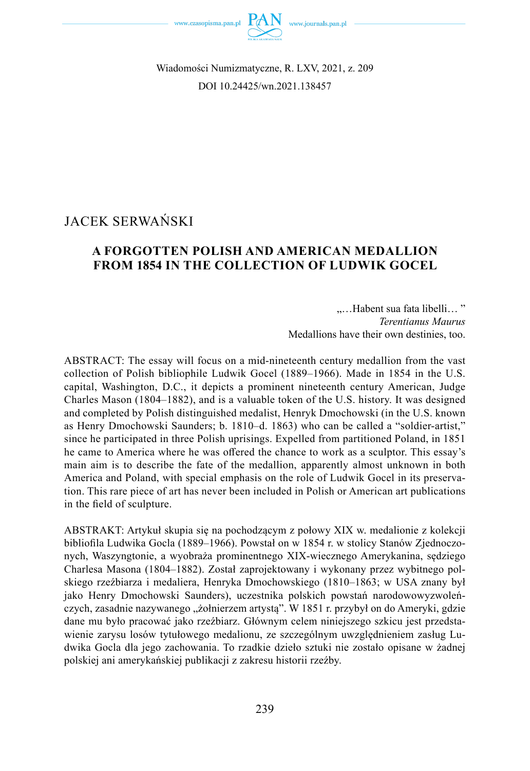



Wiadomości Numizmatyczne, R. LXV, 2021, z. 209 DOI 10.24425/wn.2021.138457

# JACEK SERWAŃSKI

## **A FORGOTTEN POLISH AND AMERICAN MEDALLION FROM 1854 IN THE COLLECTION OF LUDWIK GOCEL**

"…Habent sua fata libelli… " *Terentianus Maurus* Medallions have their own destinies, too.

ABSTRACT: The essay will focus on a mid-nineteenth century medallion from the vast collection of Polish bibliophile Ludwik Gocel (1889–1966). Made in 1854 in the U.S. capital, Washington, D.C., it depicts a prominent nineteenth century American, Judge Charles Mason (1804–1882), and is a valuable token of the U.S. history. It was designed and completed by Polish distinguished medalist, Henryk Dmochowski (in the U.S. known as Henry Dmochowski Saunders; b. 1810–d. 1863) who can be called a "soldier-artist," since he participated in three Polish uprisings. Expelled from partitioned Poland, in 1851 he came to America where he was offered the chance to work as a sculptor. This essay's main aim is to describe the fate of the medallion, apparently almost unknown in both America and Poland, with special emphasis on the role of Ludwik Gocel in its preservation. This rare piece of art has never been included in Polish or American art publications in the field of sculpture.

ABSTRAKT: Artykuł skupia się na pochodzącym z połowy XIX w. medalionie z kolekcji bibliofila Ludwika Gocla (1889–1966). Powstał on w 1854 r. w stolicy Stanów Zjednoczonych, Waszyngtonie, a wyobraża prominentnego XIX-wiecznego Amerykanina, sędziego Charlesa Masona (1804–1882). Został zaprojektowany i wykonany przez wybitnego polskiego rzeźbiarza i medaliera, Henryka Dmochowskiego (1810–1863; w USA znany był jako Henry Dmochowski Saunders), uczestnika polskich powstań narodowowyzwoleńczych, zasadnie nazywanego "żołnierzem artystą". W 1851 r. przybył on do Ameryki, gdzie dane mu było pracować jako rzeźbiarz. Głównym celem niniejszego szkicu jest przedstawienie zarysu losów tytułowego medalionu, ze szczególnym uwzględnieniem zasług Ludwika Gocla dla jego zachowania. To rzadkie dzieło sztuki nie zostało opisane w żadnej polskiej ani amerykańskiej publikacji z zakresu historii rzeźby.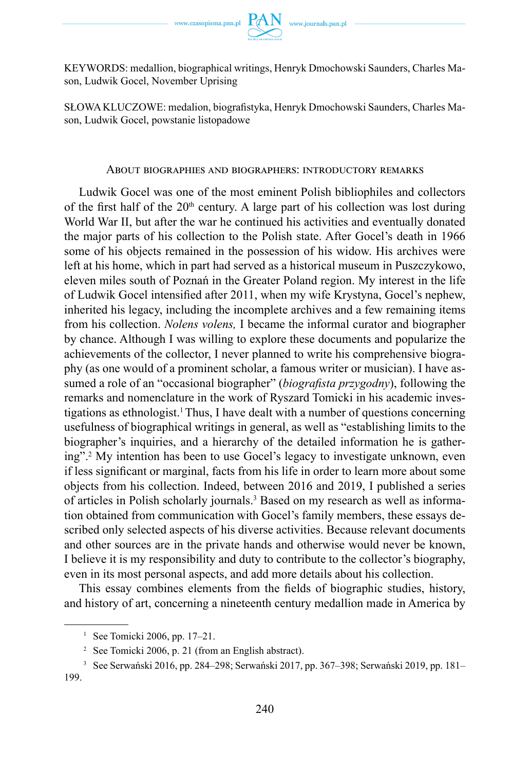KEYWORDS: medallion, biographical writings, Henryk Dmochowski Saunders, Charles Mason, Ludwik Gocel, November Uprising

SŁOWA KLUCZOWE: medalion, biografistyka, Henryk Dmochowski Saunders, Charles Mason, Ludwik Gocel, powstanie listopadowe

#### About biographies and biographers: introductory remarks

Ludwik Gocel was one of the most eminent Polish bibliophiles and collectors of the first half of the  $20<sup>th</sup>$  century. A large part of his collection was lost during World War II, but after the war he continued his activities and eventually donated the major parts of his collection to the Polish state. After Gocel's death in 1966 some of his objects remained in the possession of his widow. His archives were left at his home, which in part had served as a historical museum in Puszczykowo, eleven miles south of Poznań in the Greater Poland region. My interest in the life of Ludwik Gocel intensified after 2011, when my wife Krystyna, Gocel's nephew, inherited his legacy, including the incomplete archives and a few remaining items from his collection. *Nolens volens,* I became the informal curator and biographer by chance. Although I was willing to explore these documents and popularize the achievements of the collector, I never planned to write his comprehensive biography (as one would of a prominent scholar, a famous writer or musician). I have assumed a role of an "occasional biographer" (*biografista przygodny*), following the remarks and nomenclature in the work of Ryszard Tomicki in his academic investigations as ethnologist.<sup>1</sup>Thus, I have dealt with a number of questions concerning usefulness of biographical writings in general, as well as "establishing limits to the biographer's inquiries, and a hierarchy of the detailed information he is gathering".2 My intention has been to use Gocel's legacy to investigate unknown, even if less significant or marginal, facts from his life in order to learn more about some objects from his collection. Indeed, between 2016 and 2019, I published a series of articles in Polish scholarly journals.<sup>3</sup> Based on my research as well as information obtained from communication with Gocel's family members, these essays described only selected aspects of his diverse activities. Because relevant documents and other sources are in the private hands and otherwise would never be known, I believe it is my responsibility and duty to contribute to the collector's biography, even in its most personal aspects, and add more details about his collection.

This essay combines elements from the fields of biographic studies, history, and history of art, concerning a nineteenth century medallion made in America by

<sup>&</sup>lt;sup>1</sup> See Tomicki 2006, pp.  $17-21$ .

<sup>2</sup> See Tomicki 2006, p. 21 (from an English abstract).

<sup>&</sup>lt;sup>3</sup> See Serwański 2016, pp. 284–298; Serwański 2017, pp. 367–398; Serwański 2019, pp. 181– 199.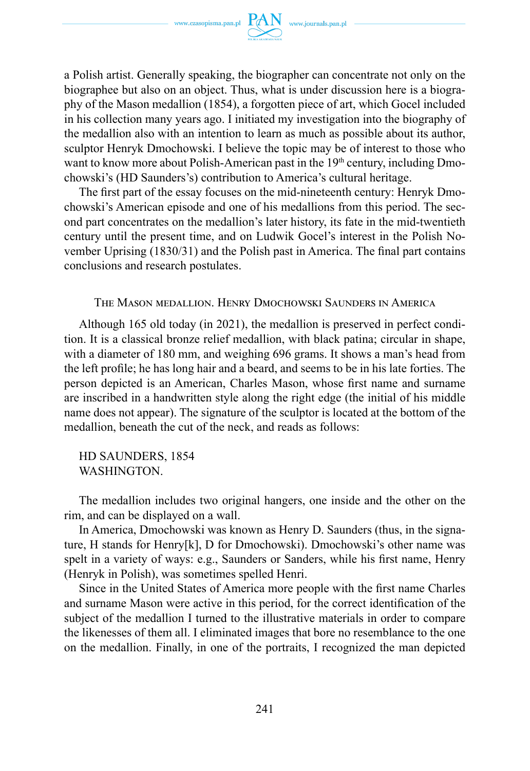

a Polish artist. Generally speaking, the biographer can concentrate not only on the biographee but also on an object. Thus, what is under discussion here is a biography of the Mason medallion (1854), a forgotten piece of art, which Gocel included in his collection many years ago. I initiated my investigation into the biography of the medallion also with an intention to learn as much as possible about its author, sculptor Henryk Dmochowski. I believe the topic may be of interest to those who want to know more about Polish-American past in the  $19<sup>th</sup>$  century, including Dmochowski's (HD Saunders's) contribution to America's cultural heritage.

The first part of the essay focuses on the mid-nineteenth century: Henryk Dmochowski's American episode and one of his medallions from this period. The second part concentrates on the medallion's later history, its fate in the mid-twentieth century until the present time, and on Ludwik Gocel's interest in the Polish November Uprising (1830/31) and the Polish past in America. The final part contains conclusions and research postulates.

The Mason medallion. Henry Dmochowski Saunders in America

Although 165 old today (in 2021), the medallion is preserved in perfect condition. It is a classical bronze relief medallion, with black patina; circular in shape, with a diameter of 180 mm, and weighing 696 grams. It shows a man's head from the left profile; he has long hair and a beard, and seems to be in his late forties. The person depicted is an American, Charles Mason, whose first name and surname are inscribed in a handwritten style along the right edge (the initial of his middle name does not appear). The signature of the sculptor is located at the bottom of the medallion, beneath the cut of the neck, and reads as follows:

HD SAUNDERS, 1854 WASHINGTON.

The medallion includes two original hangers, one inside and the other on the rim, and can be displayed on a wall.

In America, Dmochowski was known as Henry D. Saunders (thus, in the signature, H stands for Henry[k], D for Dmochowski). Dmochowski's other name was spelt in a variety of ways: e.g., Saunders or Sanders, while his first name, Henry (Henryk in Polish), was sometimes spelled Henri.

Since in the United States of America more people with the first name Charles and surname Mason were active in this period, for the correct identification of the subject of the medallion I turned to the illustrative materials in order to compare the likenesses of them all. I eliminated images that bore no resemblance to the one on the medallion. Finally, in one of the portraits, I recognized the man depicted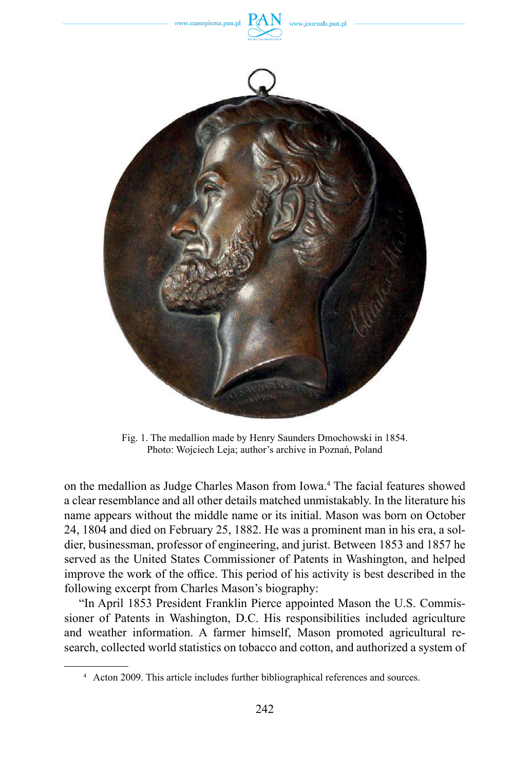

Fig. 1. The medallion made by Henry Saunders Dmochowski in 1854. Photo: Wojciech Leja; author's archive in Poznań, Poland

on the medallion as Judge Charles Mason from Iowa.<sup>4</sup> The facial features showed a clear resemblance and all other details matched unmistakably. In the literature his name appears without the middle name or its initial. Mason was born on October 24, 1804 and died on February 25, 1882. He was a prominent man in his era, a soldier, businessman, professor of engineering, and jurist. Between 1853 and 1857 he served as the [United States Commissioner of Patents](https://en.wikipedia.org/wiki/United_States_Commissioner_of_Patents) in Washington, and helped improve the work of the office. This period of his activity is best described in the following excerpt from Charles Mason's biography:

"In April 1853 President Franklin Pierce appointed Mason the U.S. Commissioner of Patents in Washington, D.C. His responsibilities included agriculture and weather information. A farmer himself, Mason promoted agricultural research, collected world statistics on tobacco and cotton, and authorized a system of

<sup>4</sup> Acton 2009. This article includes further bibliographical references and sources.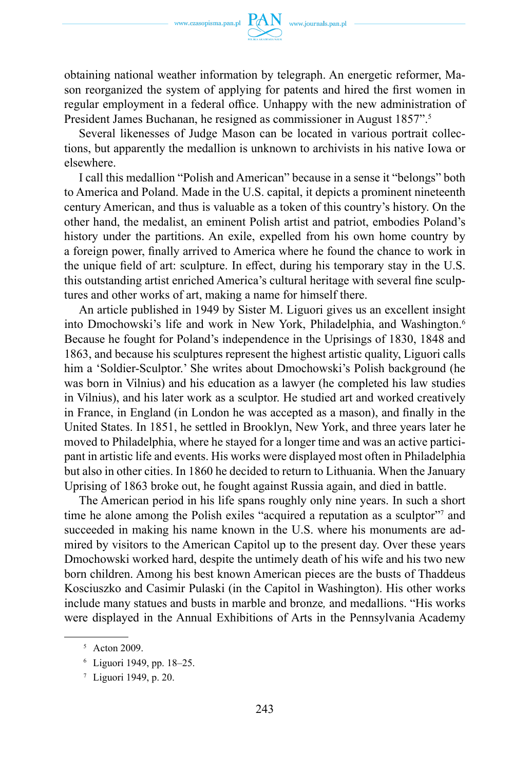

obtaining national weather information by telegraph. An energetic reformer, Mason reorganized the system of applying for patents and hired the first women in regular employment in a federal office. Unhappy with the new administration of President James Buchanan, he resigned as commissioner in August 1857".<sup>5</sup>

Several likenesses of Judge Mason can be located in various portrait collections, but apparently the medallion is unknown to archivists in his native Iowa or elsewhere.

I call this medallion "Polish and American" because in a sense it "belongs" both to America and Poland. Made in the U.S. capital, it depicts a prominent nineteenth century American, and thus is valuable as a token of this country's history. On the other hand, the medalist, an eminent Polish artist and patriot, embodies Poland's history under the partitions. An exile, expelled from his own home country by a foreign power, finally arrived to America where he found the chance to work in the unique field of art: sculpture. In effect, during his temporary stay in the U.S. this outstanding artist enriched America's cultural heritage with several fine sculptures and other works of art, making a name for himself there.

An article published in 1949 by Sister M. Liguori gives us an excellent insight into Dmochowski's life and work in New York, Philadelphia, and Washington.<sup>6</sup> Because he fought for Poland's independence in the Uprisings of 1830, 1848 and 1863, and because his sculptures represent the highest artistic quality, Liguori calls him a 'Soldier-Sculptor.' She writes about Dmochowski's Polish background (he was born in Vilnius) and his education as a lawyer (he completed his law studies in Vilnius), and his later work as a sculptor. He studied art and worked creatively in France, in England (in London he was accepted as a mason), and finally in the United States. In 1851, he settled in Brooklyn, New York, and three years later he moved to Philadelphia, where he stayed for a longer time and was an active participant in artistic life and events. His works were displayed most often in Philadelphia but also in other cities. In 1860 he decided to return to Lithuania. When the January Uprising of 1863 broke out, he fought against Russia again, and died in battle.

The American period in his life spans roughly only nine years. In such a short time he alone among the Polish exiles "acquired a reputation as a sculptor"<sup>7</sup> and succeeded in making his name known in the U.S. where his monuments are admired by visitors to the American Capitol up to the present day. Over these years Dmochowski worked hard, despite the untimely death of his wife and his two new born children. Among his best known American pieces are the busts of Thaddeus Kosciuszko and Casimir Pulaski (in the Capitol in Washington). His other works include many statues and busts in marble and bronze*,* and medallions. "His works were displayed in the Annual Exhibitions of Arts in the Pennsylvania Academy

<sup>5</sup> Acton 2009.

<sup>6</sup> Liguori 1949, pp. 18–25.

<sup>7</sup> Liguori 1949, p. 20.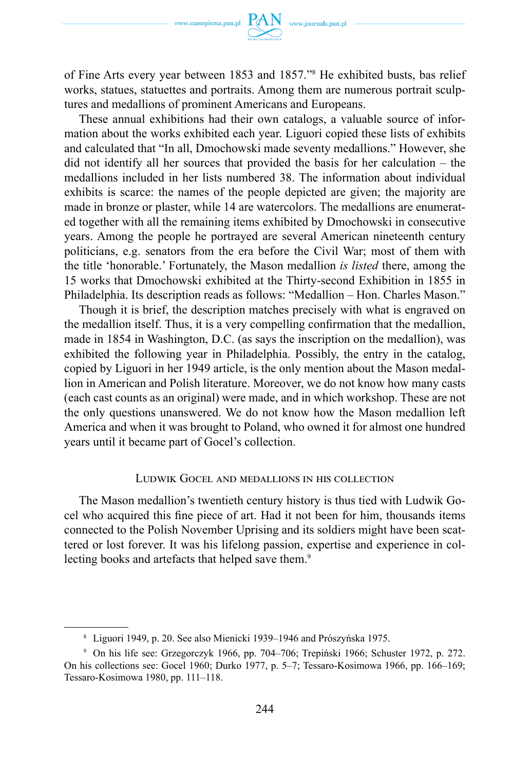of Fine Arts every year between 1853 and 1857."<sup>8</sup> He exhibited busts, bas relief works, statues, statuettes and portraits. Among them are numerous portrait sculptures and medallions of prominent Americans and Europeans.

These annual exhibitions had their own catalogs, a valuable source of information about the works exhibited each year. Liguori copied these lists of exhibits and calculated that "In all, Dmochowski made seventy medallions." However, she did not identify all her sources that provided the basis for her calculation – the medallions included in her lists numbered 38. The information about individual exhibits is scarce: the names of the people depicted are given; the majority are made in bronze or plaster, while 14 are watercolors. The medallions are enumerated together with all the remaining items exhibited by Dmochowski in consecutive years. Among the people he portrayed are several American nineteenth century politicians, e.g. senators from the era before the Civil War; most of them with the title 'honorable.' Fortunately, the Mason medallion *is listed* there, among the 15 works that Dmochowski exhibited at the Thirty-second Exhibition in 1855 in Philadelphia. Its description reads as follows: "Medallion – Hon. Charles Mason."

Though it is brief, the description matches precisely with what is engraved on the medallion itself. Thus, it is a very compelling confirmation that the medallion, made in 1854 in Washington, D.C. (as says the inscription on the medallion), was exhibited the following year in Philadelphia. Possibly, the entry in the catalog, copied by Liguori in her 1949 article, is the only mention about the Mason medallion in American and Polish literature. Moreover, we do not know how many casts (each cast counts as an original) were made, and in which workshop. These are not the only questions unanswered. We do not know how the Mason medallion left America and when it was brought to Poland, who owned it for almost one hundred years until it became part of Gocel's collection.

## Ludwik Gocel and medallions in his collection

The Mason medallion's twentieth century history is thus tied with Ludwik Gocel who acquired this fine piece of art. Had it not been for him, thousands items connected to the Polish November Uprising and its soldiers might have been scattered or lost forever. It was his lifelong passion, expertise and experience in collecting books and artefacts that helped save them.<sup>9</sup>

<sup>8</sup> Liguori 1949, p. 20. See also Mienicki 1939–1946 and Prószyńska 1975.

<sup>9</sup> On his life see: Grzegorczyk 1966, pp. 704–706; Trepiński 1966; Schuster 1972, p. 272. On his collections see: Gocel 1960; Durko 1977, p. 5–7; Tessaro-Kosimowa 1966, pp. 166–169; Tessaro-Kosimowa 1980, pp. 111–118.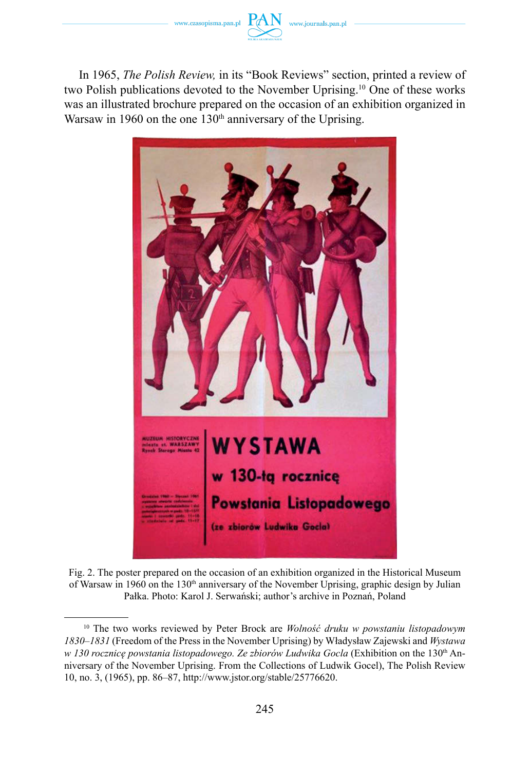

In 1965, *The Polish Review,* in its "Book Reviews" section, printed a review of two Polish publications devoted to the November Uprising.10 One of these works was an illustrated brochure prepared on the occasion of an exhibition organized in Warsaw in 1960 on the one  $130<sup>th</sup>$  anniversary of the Uprising.



Fig. 2. The poster prepared on the occasion of an exhibition organized in the Historical Museum of Warsaw in 1960 on the 130<sup>th</sup> anniversary of the November Uprising, graphic design by Julian Pałka. Photo: Karol J. Serwański; author's archive in Poznań, Poland

<sup>10</sup> The two works reviewed by Peter Brock are *Wolność druku w powstaniu listopadowym 1830–1831* (Freedom of the Press in the November Uprising) by Władysław Zajewski and *Wystawa w* 130 rocznice powstania listopadowego. Ze zbiorów Ludwika Gocla (Exhibition on the 130<sup>th</sup> Anniversary of the November Uprising. From the Collections of Ludwik Gocel), The Polish Review 10, no. 3, (1965), pp. 86–87, http://www.jstor.org/stable/25776620.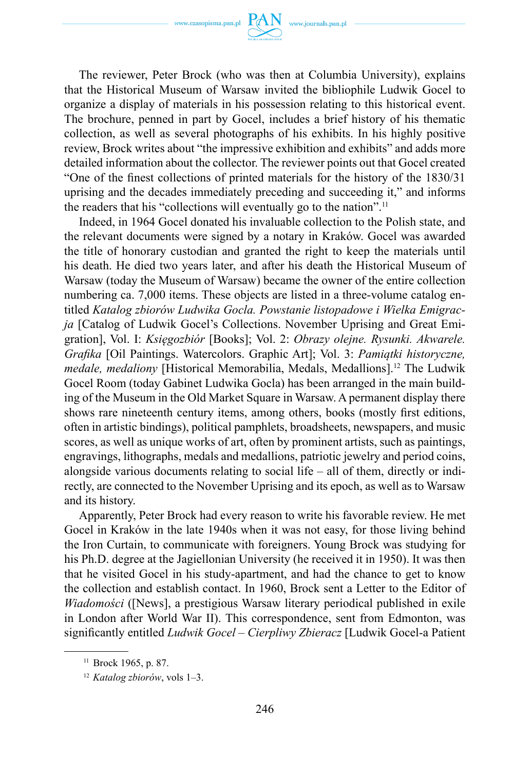

The reviewer, Peter Brock (who was then at Columbia University), explains that the Historical Museum of Warsaw invited the bibliophile Ludwik Gocel to organize a display of materials in his possession relating to this historical event. The brochure, penned in part by Gocel, includes a brief history of his thematic collection, as well as several photographs of his exhibits. In his highly positive review, Brock writes about "the impressive exhibition and exhibits" and adds more detailed information about the collector. The reviewer points out that Gocel created "One of the finest collections of printed materials for the history of the 1830/31 uprising and the decades immediately preceding and succeeding it," and informs the readers that his "collections will eventually go to the nation".<sup>11</sup>

Indeed, in 1964 Gocel donated his invaluable collection to the Polish state, and the relevant documents were signed by a notary in Kraków. Gocel was awarded the title of honorary custodian and granted the right to keep the materials until his death. He died two years later, and after his death the Historical Museum of Warsaw (today the Museum of Warsaw) became the owner of the entire collection numbering ca. 7,000 items. These objects are listed in a three-volume catalog entitled *Katalog zbiorów Ludwika Gocla. Powstanie listopadowe i Wielka Emigracja* [Catalog of Ludwik Gocel's Collections. November Uprising and Great Emigration], Vol. I: *Księgozbiór* [Books]; Vol. 2: *Obrazy olejne. Rysunki. Akwarele. Grafika* [Oil Paintings. Watercolors. Graphic Art]; Vol. 3: *Pamiątki historyczne, medale, medaliony* [Historical Memorabilia, Medals, Medallions].12 The Ludwik Gocel Room (today Gabinet Ludwika Gocla) has been arranged in the main building of the Museum in the Old Market Square in Warsaw. A permanent display there shows rare nineteenth century items, among others, books (mostly first editions, often in artistic bindings), political pamphlets, broadsheets, newspapers, and music scores, as well as unique works of art, often by prominent artists, such as paintings, engravings, lithographs, medals and medallions, patriotic jewelry and period coins, alongside various documents relating to social life – all of them, directly or indirectly, are connected to the November Uprising and its epoch, as well as to Warsaw and its history.

Apparently, Peter Brock had every reason to write his favorable review. He met Gocel in Kraków in the late 1940s when it was not easy, for those living behind the Iron Curtain, to communicate with foreigners. Young Brock was studying for his Ph.D. degree at the Jagiellonian University (he received it in 1950). It was then that he visited Gocel in his study-apartment, and had the chance to get to know the collection and establish contact. In 1960, Brock sent a Letter to the Editor of *Wiadomości* ([News], a prestigious Warsaw literary periodical published in exile in London after World War II). This correspondence, sent from Edmonton, was significantly entitled *Ludwik Gocel – Cierpliwy Zbieracz* [Ludwik Gocel-a Patient

<sup>&</sup>lt;sup>11</sup> Brock 1965, p. 87.

<sup>12</sup> *Katalog zbiorów*, vols 1–3.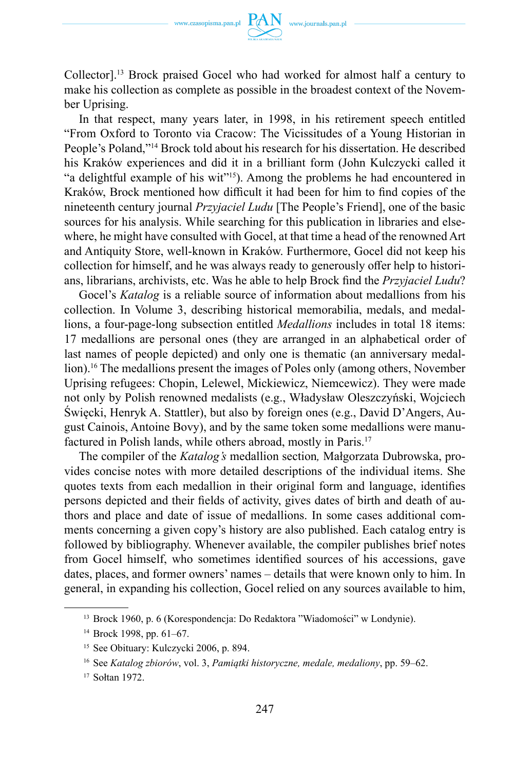

Collector].13 Brock praised Gocel who had worked for almost half a century to make his collection as complete as possible in the broadest context of the November Uprising.

In that respect, many years later, in 1998, in his retirement speech entitled "From Oxford to Toronto via Cracow: The Vicissitudes of a Young Historian in People's Poland,"14 Brock told about his research for his dissertation. He described his Kraków experiences and did it in a brilliant form (John Kulczycki called it "a delightful example of his wit"15). Among the problems he had encountered in Kraków, Brock mentioned how difficult it had been for him to find copies of the nineteenth century journal *Przyjaciel Ludu* [The People's Friend], one of the basic sources for his analysis. While searching for this publication in libraries and elsewhere, he might have consulted with Gocel, at that time a head of the renowned Art and Antiquity Store, well-known in Kraków. Furthermore, Gocel did not keep his collection for himself, and he was always ready to generously offer help to historians, librarians, archivists, etc. Was he able to help Brock find the *Przyjaciel Ludu*?

Gocel's *Katalog* is a reliable source of information about medallions from his collection. In Volume 3, describing historical memorabilia, medals, and medallions, a four-page-long subsection entitled *Medallions* includes in total 18 items: 17 medallions are personal ones (they are arranged in an alphabetical order of last names of people depicted) and only one is thematic (an anniversary medallion).16 The medallions present the images of Poles only (among others, November Uprising refugees: Chopin, Lelewel, Mickiewicz, Niemcewicz). They were made not only by Polish renowned medalists (e.g., Władysław Oleszczyński, Wojciech Święcki, Henryk A. Stattler), but also by foreign ones (e.g., David D'Angers, August Cainois, Antoine Bovy), and by the same token some medallions were manufactured in Polish lands, while others abroad, mostly in Paris.<sup>17</sup>

The compiler of the *Katalog's* medallion section*,* Małgorzata Dubrowska, provides concise notes with more detailed descriptions of the individual items. She quotes texts from each medallion in their original form and language, identifies persons depicted and their fields of activity, gives dates of birth and death of authors and place and date of issue of medallions. In some cases additional comments concerning a given copy's history are also published. Each catalog entry is followed by bibliography. Whenever available, the compiler publishes brief notes from Gocel himself, who sometimes identified sources of his accessions, gave dates, places, and former owners' names – details that were known only to him. In general, in expanding his collection, Gocel relied on any sources available to him,

<sup>13</sup> Brock 1960, p. 6 (Korespondencja: Do Redaktora "Wiadomości" w Londynie).

<sup>14</sup> Brock 1998, pp. 61–67.

<sup>15</sup> See Obituary: Kulczycki 2006, p. 894.

<sup>16</sup> See *Katalog zbiorów*, vol. 3, *Pamiątki historyczne, medale, medaliony*, pp. 59–62.

<sup>17</sup> Sołtan 1972.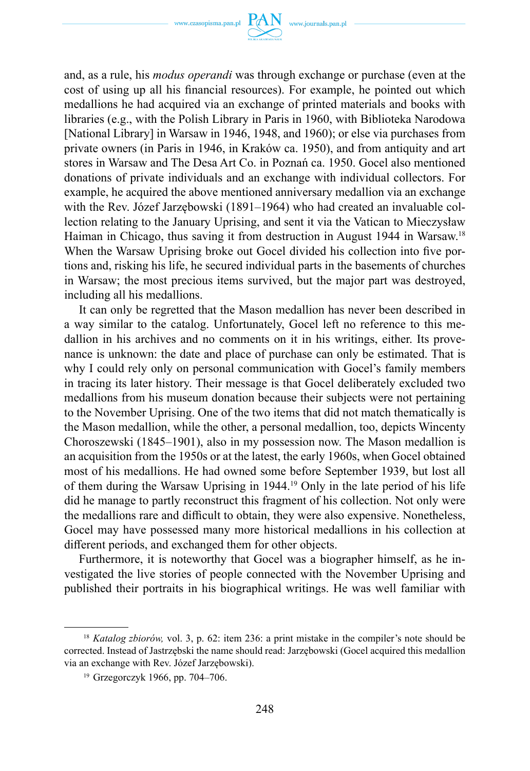www.czasopisma.pan.pl  $PAN$  www.journals.pan.pl



and, as a rule, his *modus operandi* was through exchange or purchase (even at the cost of using up all his financial resources). For example, he pointed out which medallions he had acquired via an exchange of printed materials and books with libraries (e.g., with the Polish Library in Paris in 1960, with Biblioteka Narodowa [National Library] in Warsaw in 1946, 1948, and 1960); or else via purchases from private owners (in Paris in 1946, in Kraków ca. 1950), and from antiquity and art stores in Warsaw and The Desa Art Co. in Poznań ca. 1950. Gocel also mentioned donations of private individuals and an exchange with individual collectors. For example, he acquired the above mentioned anniversary medallion via an exchange with the Rev. Józef Jarzębowski (1891–1964) who had created an invaluable collection relating to the January Uprising, and sent it via the Vatican to Mieczysław Haiman in Chicago, thus saving it from destruction in August 1944 in Warsaw.18 When the Warsaw Uprising broke out Gocel divided his collection into five portions and, risking his life, he secured individual parts in the basements of churches in Warsaw; the most precious items survived, but the major part was destroyed, including all his medallions.

It can only be regretted that the Mason medallion has never been described in a way similar to the catalog. Unfortunately, Gocel left no reference to this medallion in his archives and no comments on it in his writings, either. Its provenance is unknown: the date and place of purchase can only be estimated. That is why I could rely only on personal communication with Gocel's family members in tracing its later history. Their message is that Gocel deliberately excluded two medallions from his museum donation because their subjects were not pertaining to the November Uprising. One of the two items that did not match thematically is the Mason medallion, while the other, a personal medallion, too, depicts Wincenty Choroszewski (1845–1901), also in my possession now. The Mason medallion is an acquisition from the 1950s or at the latest, the early 1960s, when Gocel obtained most of his medallions. He had owned some before September 1939, but lost all of them during the Warsaw Uprising in 1944.19 Only in the late period of his life did he manage to partly reconstruct this fragment of his collection. Not only were the medallions rare and difficult to obtain, they were also expensive. Nonetheless, Gocel may have possessed many more historical medallions in his collection at different periods, and exchanged them for other objects.

Furthermore, it is noteworthy that Gocel was a biographer himself, as he investigated the live stories of people connected with the November Uprising and published their portraits in his biographical writings. He was well familiar with

<sup>&</sup>lt;sup>18</sup> *Katalog zbiorów*, vol. 3, p. 62: item 236: a print mistake in the compiler's note should be corrected. Instead of Jastrzębski the name should read: Jarzębowski (Gocel acquired this medallion via an exchange with Rev. Józef Jarzębowski).

<sup>19</sup> Grzegorczyk 1966, pp. 704–706.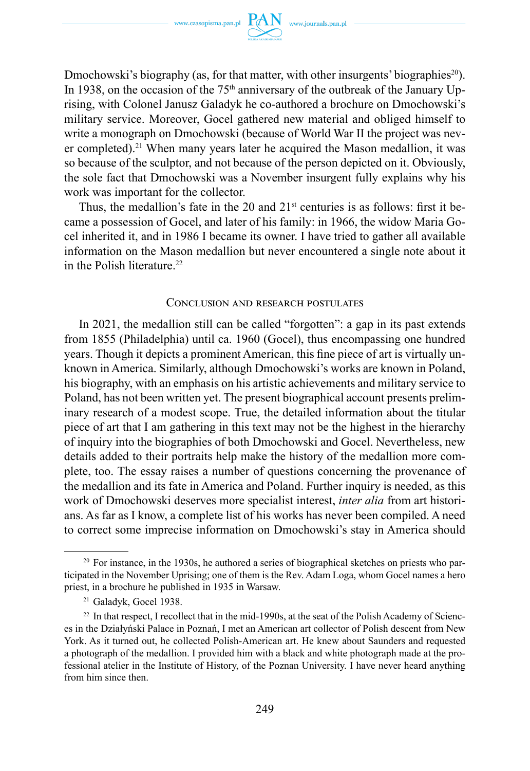

Dmochowski's biography (as, for that matter, with other insurgents' biographies<sup>20</sup>). In 1938, on the occasion of the 75<sup>th</sup> anniversary of the outbreak of the January Uprising, with Colonel Janusz Galadyk he co-authored a brochure on Dmochowski's military service. Moreover, Gocel gathered new material and obliged himself to write a monograph on Dmochowski (because of World War II the project was never completed).<sup>21</sup> When many years later he acquired the Mason medallion, it was so because of the sculptor, and not because of the person depicted on it. Obviously, the sole fact that Dmochowski was a November insurgent fully explains why his work was important for the collector.

Thus, the medallion's fate in the 20 and  $21<sup>st</sup>$  centuries is as follows: first it became a possession of Gocel, and later of his family: in 1966, the widow Maria Gocel inherited it, and in 1986 I became its owner. I have tried to gather all available information on the Mason medallion but never encountered a single note about it in the Polish literature.<sup>22</sup>

## Conclusion and research postulates

In 2021, the medallion still can be called "forgotten": a gap in its past extends from 1855 (Philadelphia) until ca. 1960 (Gocel), thus encompassing one hundred years. Though it depicts a prominent American, this fine piece of art is virtually unknown in America. Similarly, although Dmochowski's works are known in Poland, his biography, with an emphasis on his artistic achievements and military service to Poland, has not been written yet. The present biographical account presents preliminary research of a modest scope. True, the detailed information about the titular piece of art that I am gathering in this text may not be the highest in the hierarchy of inquiry into the biographies of both Dmochowski and Gocel. Nevertheless, new details added to their portraits help make the history of the medallion more complete, too. The essay raises a number of questions concerning the provenance of the medallion and its fate in America and Poland. Further inquiry is needed, as this work of Dmochowski deserves more specialist interest, *inter alia* from art historians. As far as I know, a complete list of his works has never been compiled. A need to correct some imprecise information on Dmochowski's stay in America should

 $20$  For instance, in the 1930s, he authored a series of biographical sketches on priests who participated in the November Uprising; one of them is the Rev. Adam Loga, whom Gocel names a hero priest, in a brochure he published in 1935 in Warsaw.

<sup>21</sup> Galadyk, Gocel 1938.

 $22 \text{ In that respect, I recollect that in the mid-1990s, at the seat of the Polish Academy of Sciences.}$ es in the Działyński Palace in Poznań, I met an American art collector of Polish descent from New York. As it turned out, he collected Polish-American art. He knew about Saunders and requested a photograph of the medallion. I provided him with a black and white photograph made at the professional atelier in the Institute of History, of the Poznan University. I have never heard anything from him since then.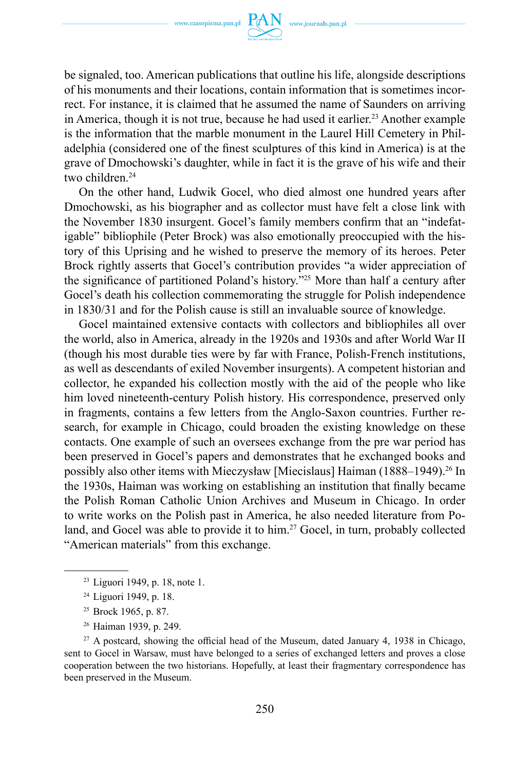

be signaled, too. American publications that outline his life, alongside descriptions of his monuments and their locations, contain information that is sometimes incorrect. For instance, it is claimed that he assumed the name of Saunders on arriving in America, though it is not true, because he had used it earlier.<sup>23</sup> Another example is the information that the marble monument in the Laurel Hill Cemetery in Philadelphia (considered one of the finest sculptures of this kind in America) is at the grave of Dmochowski's daughter, while in fact it is the grave of his wife and their two children.24

On the other hand, Ludwik Gocel, who died almost one hundred years after Dmochowski, as his biographer and as collector must have felt a close link with the November 1830 insurgent. Gocel's family members confirm that an "indefatigable" bibliophile (Peter Brock) was also emotionally preoccupied with the history of this Uprising and he wished to preserve the memory of its heroes. Peter Brock rightly asserts that Gocel's contribution provides "a wider appreciation of the significance of partitioned Poland's history."25 More than half a century after Gocel's death his collection commemorating the struggle for Polish independence in 1830/31 and for the Polish cause is still an invaluable source of knowledge.

Gocel maintained extensive contacts with collectors and bibliophiles all over the world, also in America, already in the 1920s and 1930s and after World War II (though his most durable ties were by far with France, Polish-French institutions, as well as descendants of exiled November insurgents). A competent historian and collector, he expanded his collection mostly with the aid of the people who like him loved nineteenth-century Polish history. His correspondence, preserved only in fragments, contains a few letters from the Anglo-Saxon countries. Further research, for example in Chicago, could broaden the existing knowledge on these contacts. One example of such an oversees exchange from the pre war period has been preserved in Gocel's papers and demonstrates that he exchanged books and possibly also other items with Mieczysław [Miecislaus] Haiman  $(1888-1949).^{26}$  In the 1930s, Haiman was working on establishing an institution that finally became the Polish Roman Catholic Union Archives and Museum in Chicago. In order to write works on the Polish past in America, he also needed literature from Poland, and Gocel was able to provide it to him.<sup>27</sup> Gocel, in turn, probably collected "American materials" from this exchange.

<sup>26</sup> Haiman 1939, p. 249.

<sup>23</sup> Liguori 1949, p. 18, note 1.

<sup>24</sup> Liguori 1949, p. 18.

<sup>25</sup> Brock 1965, p. 87.

 $27$  A postcard, showing the official head of the Museum, dated January 4, 1938 in Chicago, sent to Gocel in Warsaw, must have belonged to a series of exchanged letters and proves a close cooperation between the two historians. Hopefully, at least their fragmentary correspondence has been preserved in the Museum.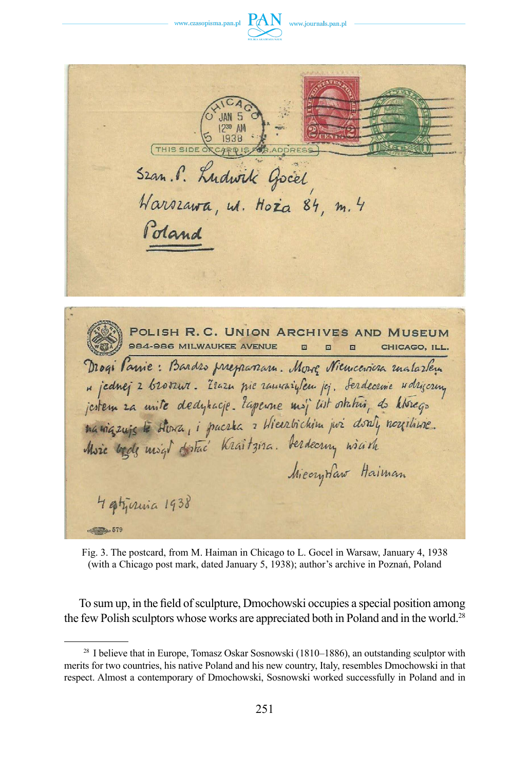



THIS SIDE OR **CR.ADDRESS** Szan. P. Ludwik Gocel Harszawa, w. Hoża 84, m. 4 Poland POLISH R.C. UNION ARCHIVES AND MUSEUM 984-986 MILWAUKEE AVENUE CHICAGO, ILL. Drogi Parie: Bardes preparana. Move Nieucevica matarlen " jednej 2 bromur. Zrazu nie ramaryłem jej. Serdecrnie udryczny jestem za unite dedyhacje. Zapenne moj list ostatni, do którego maniques le Alora, i puerta a Hierrtrichim poi dont, negitivie. Moie bede migt dotac' Kraitzira. Derdeering wirth MicoryHaw Haiman 4 atzirina 1938 

Fig. 3. The postcard, from M. Haiman in Chicago to L. Gocel in Warsaw, January 4, 1938 (with a Chicago post mark, dated January 5, 1938); author's archive in Poznań, Poland

To sum up, in the field of sculpture, Dmochowski occupies a special position among the few Polish sculptors whose works are appreciated both in Poland and in the world.<sup>28</sup>

<sup>&</sup>lt;sup>28</sup> I believe that in Europe, Tomasz Oskar Sosnowski (1810–1886), an outstanding sculptor with merits for two countries, his native Poland and his new country, Italy, resembles Dmochowski in that respect. Almost a contemporary of Dmochowski, Sosnowski worked successfully in Poland and in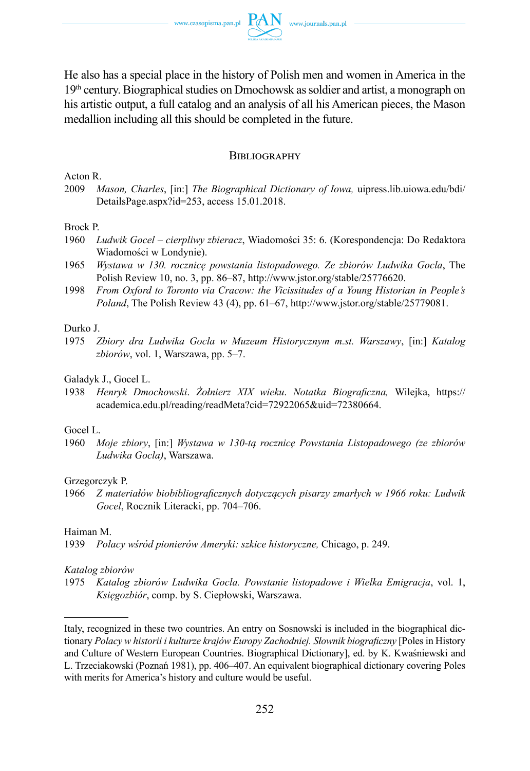He also has a special place in the history of Polish men and women in America in the 19th century. Biographical studies on Dmochowsk as soldier and artist, a monograph on his artistic output, a full catalog and an analysis of all his American pieces, the Mason medallion including all this should be completed in the future.

## **BIBLIOGRAPHY**

Acton R.

2009 *Mason, Charles*, [in:] *The Biographical Dictionary of Iowa,* uipress.lib.uiowa.edu/bdi/ DetailsPage.aspx?id=253, access 15.01.2018.

### Brock P.

- 1960 *Ludwik Gocel – cierpliwy zbieracz*, Wiadomości 35: 6. (Korespondencja: Do Redaktora Wiadomości w Londynie).
- 1965 *Wystawa w 130. rocznicę powstania listopadowego. Ze zbiorów Ludwika Gocla*, The Polish Review 10, no. 3, pp. 86–87, http://www.jstor.org/stable/25776620.
- 1998 *From Oxford to Toronto via Cracow: the Vicissitudes of a Young Historian in People's Poland*, The Polish Review 43 (4), pp. 61–67, http://www.jstor.org/stable/25779081.

#### Durko J.

1975 *Zbiory dra Ludwika Gocla w Muzeum Historycznym m.st. Warszawy*, [in:] *Katalog zbiorów*, vol. 1, Warszawa, pp. 5–7.

## Galadyk J., Gocel L.

1938 *Henryk Dmochowski*. *Żołnierz XIX wieku*. *Notatka Biograficzna,* Wilejka, https:// academica.edu.pl/reading/readMeta?cid=72922065&uid=72380664.

#### Gocel L.

1960 *Moje zbiory*, [in:] *Wystawa w 130-tą rocznicę Powstania Listopadowego (ze zbiorów Ludwika Gocla)*, Warszawa.

#### Grzegorczyk P.

1966 *Z materiałów biobibliograficznych dotyczących pisarzy zmarłych w 1966 roku: Ludwik Gocel*, Rocznik Literacki, pp. 704–706.

### Haiman M.

1939 *Polacy wśród pionierów Ameryki: szkice historyczne,* Chicago, p. 249.

#### *Katalog zbiorów*

1975 *Katalog zbiorów Ludwika Gocla. Powstanie listopadowe i Wielka Emigracja*, vol. 1, *Księgozbiór*, comp. by S. Ciepłowski, Warszawa.

Italy, recognized in these two countries. An entry on Sosnowski is included in the biographical dictionary *Polacy w historii i kulturze krajów Europy Zachodniej. Słownik biograficzny* [Poles in History and Culture of Western European Countries. Biographical Dictionary], ed. by K. Kwaśniewski and L. Trzeciakowski (Poznań 1981), pp. 406–407. An equivalent biographical dictionary covering Poles with merits for America's history and culture would be useful.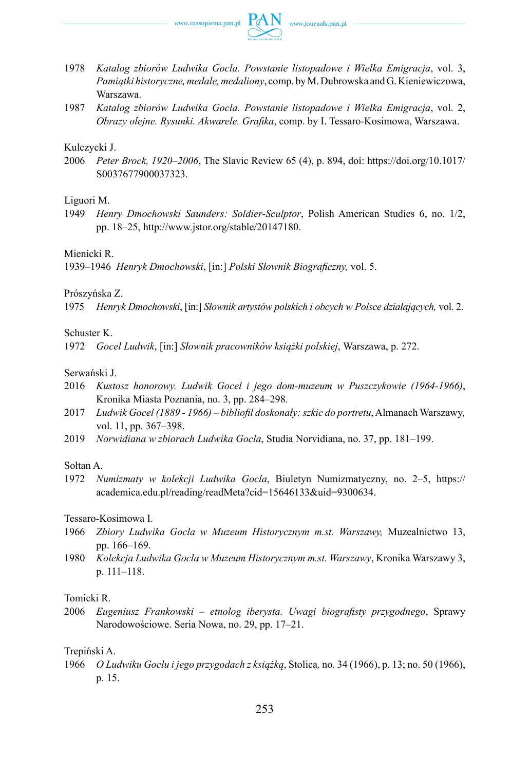

- 1978 *Katalog zbiorów Ludwika Gocla. Powstanie listopadowe i Wielka Emigracja*, vol. 3, *Pamiątki historyczne, medale, medaliony*, comp. by M. Dubrowska and G. Kieniewiczowa, Warszawa.
- 1987 *Katalog zbiorów Ludwika Gocla. Powstanie listopadowe i Wielka Emigracja*, vol. 2, *Obrazy olejne. Rysunki. Akwarele. Grafika*, comp. by I. Tessaro-Kosimowa, Warszawa.

## Kulczycki J.

2006 *Peter Brock, 1920–2006*, The Slavic Review 65 (4), p. 894, doi: https://doi.org/10.1017/ S0037677900037323.

## Liguori M.

1949 *Henry Dmochowski Saunders: Soldier-Sculptor*, Polish American Studies 6, no. 1/2, pp. 18–25, http://www.jstor.org/stable/20147180.

## Mienicki R.

1939–1946 *Henryk Dmochowski*, [in:] *Polski Słownik Biograficzny,* vol. 5.

Prószyńska Z.

1975 *Henryk Dmochowski*, [in:] *Słownik artystów polskich i obcych w Polsce działających,* vol. 2.

## Schuster K.

1972 *Gocel Ludwik*, [in:] *Słownik pracowników książki polskiej*, Warszawa, p. 272.

## Serwański J.

- 2016 *Kustosz honorowy. Ludwik Gocel i jego dom-muzeum w Puszczykowie (1964-1966)*, Kronika Miasta Poznania, no. 3, pp. 284–298.
- 2017 *Ludwik Gocel (1889 1966) – bibliofil doskonały: szkic do portretu*, Almanach Warszawy*,*  vol. 11, pp. 367–398.
- 2019 *Norwidiana w zbiorach Ludwika Gocla*, Studia Norvidiana, no. 37, pp. 181–199.

## Sołtan A.

1972 *Numizmaty w kolekcji Ludwika Gocla*, Biuletyn Numizmatyczny, no. 2–5, https:// academica.edu.pl/reading/readMeta?cid=15646133&uid=9300634.

Tessaro-Kosimowa I.

- 1966 *Zbiory Ludwika Gocla w Muzeum Historycznym m.st. Warszawy,* Muzealnictwo 13, pp. 166–169.
- 1980 *Kolekcja Ludwika Gocla w Muzeum Historycznym m.st. Warszawy*, Kronika Warszawy 3, p. 111–118.

## Tomicki R.

2006 *Eugeniusz Frankowski – etnolog iberysta. Uwagi biografisty przygodnego*, Sprawy Narodowościowe. Seria Nowa, no. 29, pp. 17–21.

## Trepiński A.

1966 *O Ludwiku Goclu i jego przygodach z książką*, Stolica*,* no*.* 34 (1966), p. 13; no. 50 (1966), p. 15.